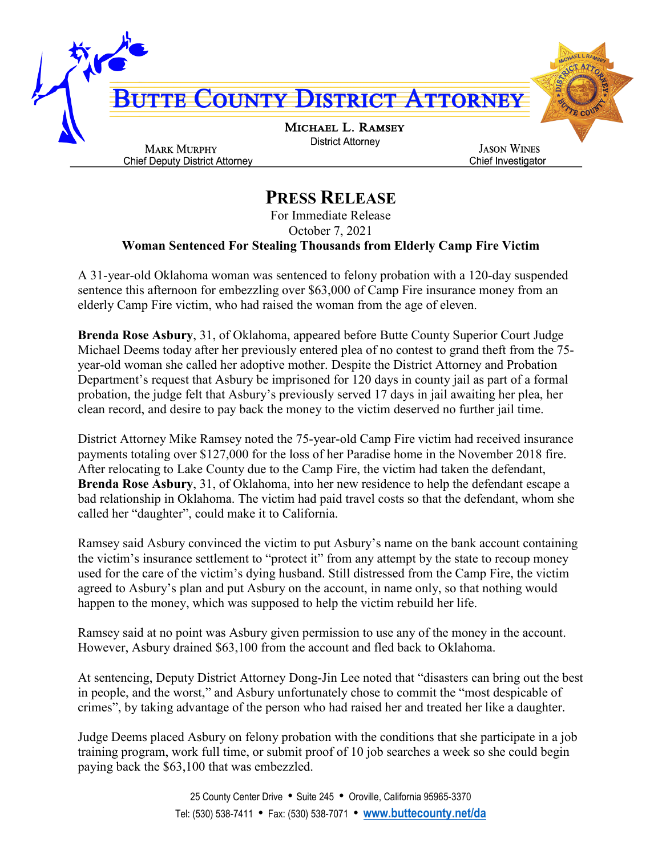

## **PRESS RELEASE**

For Immediate Release October 7, 2021 **Woman Sentenced For Stealing Thousands from Elderly Camp Fire Victim**

A 31-year-old Oklahoma woman was sentenced to felony probation with a 120-day suspended sentence this afternoon for embezzling over \$63,000 of Camp Fire insurance money from an elderly Camp Fire victim, who had raised the woman from the age of eleven.

**Brenda Rose Asbury**, 31, of Oklahoma, appeared before Butte County Superior Court Judge Michael Deems today after her previously entered plea of no contest to grand theft from the 75 year-old woman she called her adoptive mother. Despite the District Attorney and Probation Department's request that Asbury be imprisoned for 120 days in county jail as part of a formal probation, the judge felt that Asbury's previously served 17 days in jail awaiting her plea, her clean record, and desire to pay back the money to the victim deserved no further jail time.

District Attorney Mike Ramsey noted the 75-year-old Camp Fire victim had received insurance payments totaling over \$127,000 for the loss of her Paradise home in the November 2018 fire. After relocating to Lake County due to the Camp Fire, the victim had taken the defendant, **Brenda Rose Asbury**, 31, of Oklahoma, into her new residence to help the defendant escape a bad relationship in Oklahoma. The victim had paid travel costs so that the defendant, whom she called her "daughter", could make it to California.

Ramsey said Asbury convinced the victim to put Asbury's name on the bank account containing the victim's insurance settlement to "protect it" from any attempt by the state to recoup money used for the care of the victim's dying husband. Still distressed from the Camp Fire, the victim agreed to Asbury's plan and put Asbury on the account, in name only, so that nothing would happen to the money, which was supposed to help the victim rebuild her life.

Ramsey said at no point was Asbury given permission to use any of the money in the account. However, Asbury drained \$63,100 from the account and fled back to Oklahoma.

At sentencing, Deputy District Attorney Dong-Jin Lee noted that "disasters can bring out the best in people, and the worst," and Asbury unfortunately chose to commit the "most despicable of crimes", by taking advantage of the person who had raised her and treated her like a daughter.

Judge Deems placed Asbury on felony probation with the conditions that she participate in a job training program, work full time, or submit proof of 10 job searches a week so she could begin paying back the \$63,100 that was embezzled.

> 25 County Center Drive • Suite 245 • Oroville, California 95965-3370 Tel: (530) 538-7411 • Fax: (530) 538-7071 • **[www.buttecounty.net/da](http://www.buttecounty.net/da)**